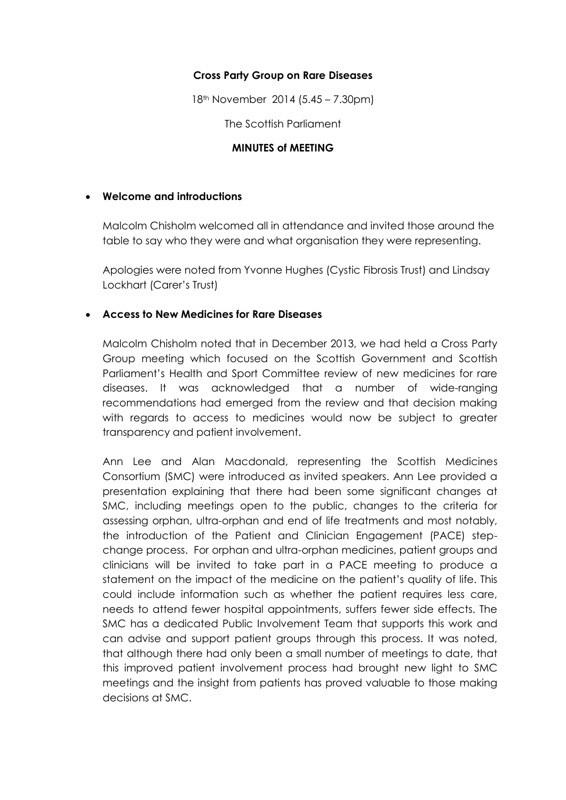### **Cross Party Group on Rare Diseases**

18th November 2014 (5.45 – 7.30pm)

The Scottish Parliament

### **MINUTES of MEETING**

#### **Welcome and introductions**

Malcolm Chisholm welcomed all in attendance and invited those around the table to say who they were and what organisation they were representing.

Apologies were noted from Yvonne Hughes (Cystic Fibrosis Trust) and Lindsay Lockhart (Carer's Trust)

#### **Access to New Medicines for Rare Diseases**

Malcolm Chisholm noted that in December 2013, we had held a Cross Party Group meeting which focused on the Scottish Government and Scottish Parliament's Health and Sport Committee review of new medicines for rare diseases. It was acknowledged that a number of wide-ranging recommendations had emerged from the review and that decision making with regards to access to medicines would now be subject to greater transparency and patient involvement.

Ann Lee and Alan Macdonald, representing the Scottish Medicines Consortium (SMC) were introduced as invited speakers. Ann Lee provided a presentation explaining that there had been some significant changes at SMC, including meetings open to the public, changes to the criteria for assessing orphan, ultra-orphan and end of life treatments and most notably, the introduction of the Patient and Clinician Engagement (PACE) stepchange process. For orphan and ultra-orphan medicines, patient groups and clinicians will be invited to take part in a PACE meeting to produce a statement on the impact of the medicine on the patient's quality of life. This could include information such as whether the patient requires less care, needs to attend fewer hospital appointments, suffers fewer side effects. The SMC has a dedicated Public Involvement Team that supports this work and can advise and support patient groups through this process. It was noted, that although there had only been a small number of meetings to date, that this improved patient involvement process had brought new light to SMC meetings and the insight from patients has proved valuable to those making decisions at SMC.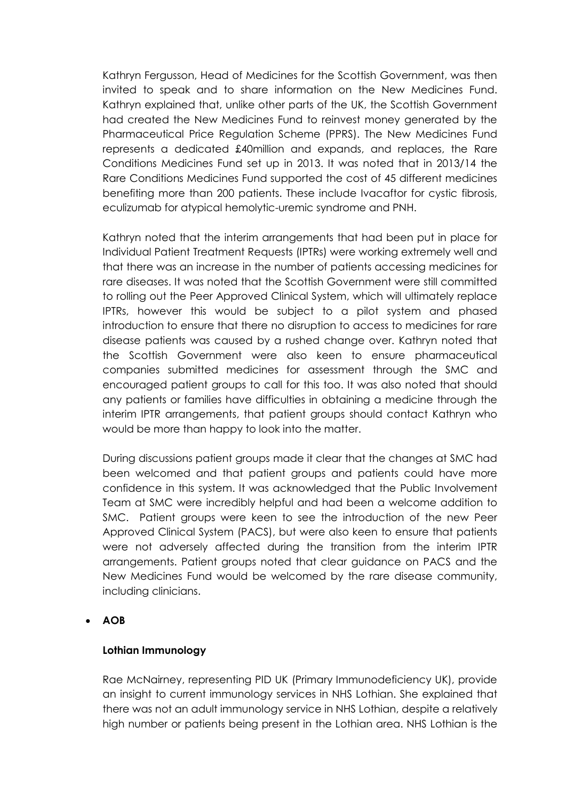Kathryn Fergusson, Head of Medicines for the Scottish Government, was then invited to speak and to share information on the New Medicines Fund. Kathryn explained that, unlike other parts of the UK, the Scottish Government had created the New Medicines Fund to reinvest money generated by the Pharmaceutical Price Regulation Scheme (PPRS). The New Medicines Fund represents a dedicated £40million and expands, and replaces, the Rare Conditions Medicines Fund set up in 2013. It was noted that in 2013/14 the Rare Conditions Medicines Fund supported the cost of 45 different medicines benefiting more than 200 patients. These include Ivacaftor for cystic fibrosis, eculizumab for atypical hemolytic-uremic syndrome and PNH.

Kathryn noted that the interim arrangements that had been put in place for Individual Patient Treatment Requests (IPTRs) were working extremely well and that there was an increase in the number of patients accessing medicines for rare diseases. It was noted that the Scottish Government were still committed to rolling out the Peer Approved Clinical System, which will ultimately replace IPTRs, however this would be subject to a pilot system and phased introduction to ensure that there no disruption to access to medicines for rare disease patients was caused by a rushed change over. Kathryn noted that the Scottish Government were also keen to ensure pharmaceutical companies submitted medicines for assessment through the SMC and encouraged patient groups to call for this too. It was also noted that should any patients or families have difficulties in obtaining a medicine through the interim IPTR arrangements, that patient groups should contact Kathryn who would be more than happy to look into the matter.

During discussions patient groups made it clear that the changes at SMC had been welcomed and that patient groups and patients could have more confidence in this system. It was acknowledged that the Public Involvement Team at SMC were incredibly helpful and had been a welcome addition to SMC. Patient groups were keen to see the introduction of the new Peer Approved Clinical System (PACS), but were also keen to ensure that patients were not adversely affected during the transition from the interim IPTR arrangements. Patient groups noted that clear guidance on PACS and the New Medicines Fund would be welcomed by the rare disease community, including clinicians.

# **AOB**

# **Lothian Immunology**

Rae McNairney, representing PID UK (Primary Immunodeficiency UK), provide an insight to current immunology services in NHS Lothian. She explained that there was not an adult immunology service in NHS Lothian, despite a relatively high number or patients being present in the Lothian area. NHS Lothian is the